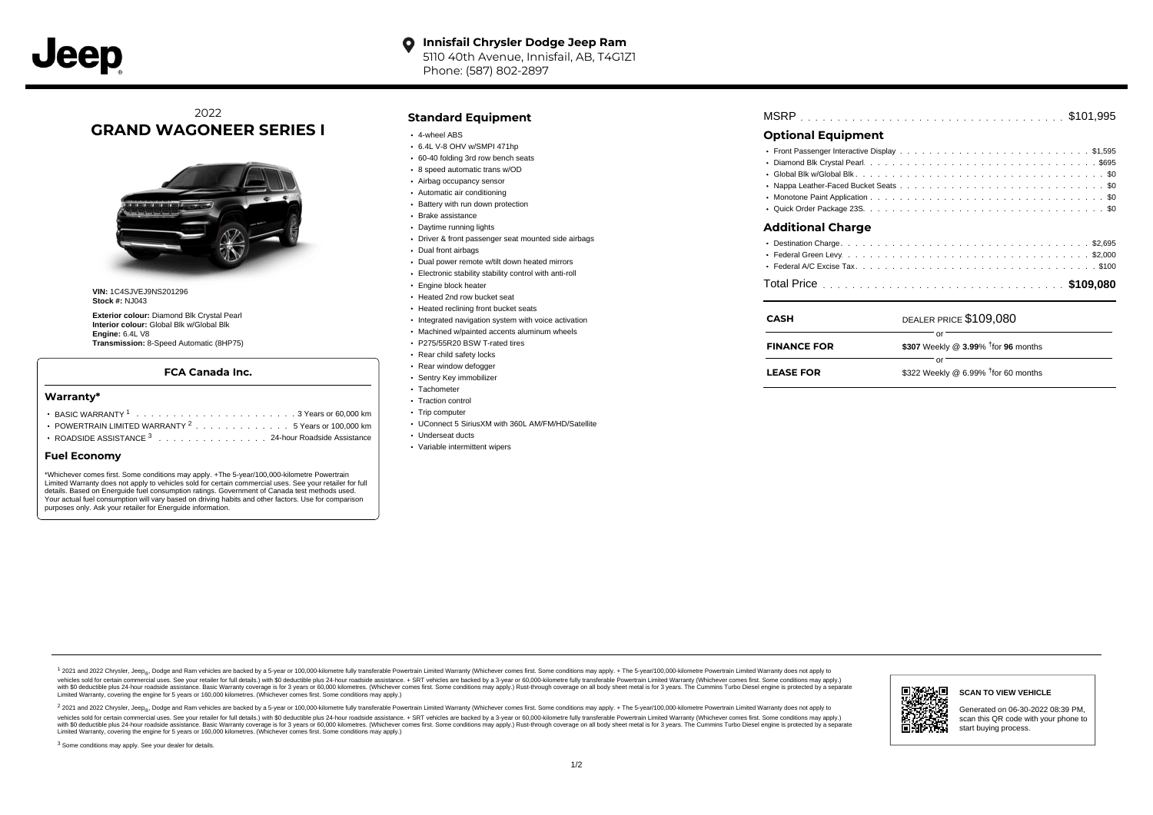# 2022 **GRAND WAGONEER SERIES I**



**VIN:** 1C4SJVEJ9NS201296 **Stock #:** NJ043

**Exterior colour:** Diamond Blk Crystal Pearl **Interior colour:** Global Blk w/Global Blk **Engine:** 6.4L V8 **Transmission:** 8-Speed Automatic (8HP75)

## **FCA Canada Inc.**

#### **Warranty\***

- . . . . . . . . . . . . . . . . . . . . . . . . . . . . . . . . . . . . . . . . . . . BASIC WARRANTY <sup>1</sup> 3 Years or 60,000 km POWERTRAIN LIMITED WARRANTY  $2 \ldots \ldots \ldots \ldots \ldots 5$  Years or 100,000 km
- ROADSIDE ASSISTANCE 3 . . . . . . . . . . . . . . . 24-hour Roadside Assistance

### **Fuel Economy**

\*Whichever comes first. Some conditions may apply. +The 5-year/100,000-kilometre Powertrain Limited Warranty does not apply to vehicles sold for certain commercial uses. See your retailer for full details. Based on Energuide fuel consumption ratings. Government of Canada test methods used. Your actual fuel consumption will vary based on driving habits and other factors. Use for comparison purposes only. Ask your retailer for Energuide information.

## **Standard Equipment**

- 4-wheel ABS
- 6.4L V-8 OHV w/SMPI 471hp
- 60-40 folding 3rd row bench seats 8 speed automatic trans w/OD
- Airbag occupancy sensor
- Automatic air conditioning
- Battery with run down protection
- Brake assistance
- Daytime running lights
- Driver & front passenger seat mounted side airbags
- Dual front airbags
- Dual power remote w/tilt down heated mirrors
- Electronic stability stability control with anti-roll
- **Engine block heater**
- Heated 2nd row bucket seat
- Heated reclining front bucket seats
- Integrated navigation system with voice activation
- Machined w/painted accents aluminum wheels
- P275/55R20 BSW T-rated tires
- Rear child safety locks
- Rear window defogger
- Sentry Key immobilizer
- Tachometer
- Traction control
- Trip computer
- UConnect 5 SiriusXM with 360L AM/FM/HD/Satellite
- Underseat ducts
- Variable intermittent wipers

| MSRP |  |  |  |  |  |  |  |  |  |  |  |  |  |  |  |  |  |  |  |  |  |  |  |  |  |  |  |  |  |  |  |  |  |  |  |  |  |  |
|------|--|--|--|--|--|--|--|--|--|--|--|--|--|--|--|--|--|--|--|--|--|--|--|--|--|--|--|--|--|--|--|--|--|--|--|--|--|--|
|------|--|--|--|--|--|--|--|--|--|--|--|--|--|--|--|--|--|--|--|--|--|--|--|--|--|--|--|--|--|--|--|--|--|--|--|--|--|--|

## **Optional Equipment**

## **Additional Charge**

| <b>CASH</b>        | DEALER PRICE \$109,080                             |
|--------------------|----------------------------------------------------|
| <b>FINANCE FOR</b> | \$307 Weekly @ $3.99\%$ <sup>†</sup> for 96 months |
| <b>LEASE FOR</b>   | \$322 Weekly @ 6.99% $†$ for 60 months             |

1 2021 and 2022 Chrysler, Jeep<sub>en</sub> Dodge and Ram vehicles are backed by a 5-year or 100,000-kilometre fully transferable Powertrain Limited Warranty (Whichever comes first. Some conditions may apply. + The 5-year/100,000-k rebicles sold for certain commercial uses. See your retailer for full details) with S0 deductible plus 24-hour madside assistance. + SRT vehicles are backed by a 3-year or 60.000-kilometre fully transferable Powertrain Lim ventals and contract when the contract when the contract you contract when the contract when the control of the set of a set of a set of a set of 3 years of 60,000 kilometres. Whichever comes first. Some conditions may app Limited Warranty, covering the engine for 5 years or 160,000 kilometres. (Whichever comes first. Some conditions may apply.)

2 2021 and 2022 Chrysler, Jeep<sub>es</sub> Dodge and Ram vehicles are backed by a 5-year or 100,000-kilometre fully transferable Powertrain Limited Warranty (Whichever comes first. Some conditions may apply. + The 5-year/100,000-k vehicles sold for certain commercial uses. See your retailer for full details.) with SO deductible plus 24-hour roadside assistance. + SRT vehicles are backed by a 3-year or 60.000-kilometre fully transferable Powertrain L with S0 deductible plus 24-hour roadside assistance. Basic Warranty coverage is for 3 years or 60,000 kilometres. (Whichever comes first. Some conditions may apply.) Rust-through coverage on all body sheet metal is for 3 y

<sup>3</sup> Some conditions may apply. See your dealer for details.



#### Generated on 06-30-2022 08:39 PM, scan this QR code with your phone to start buying process.